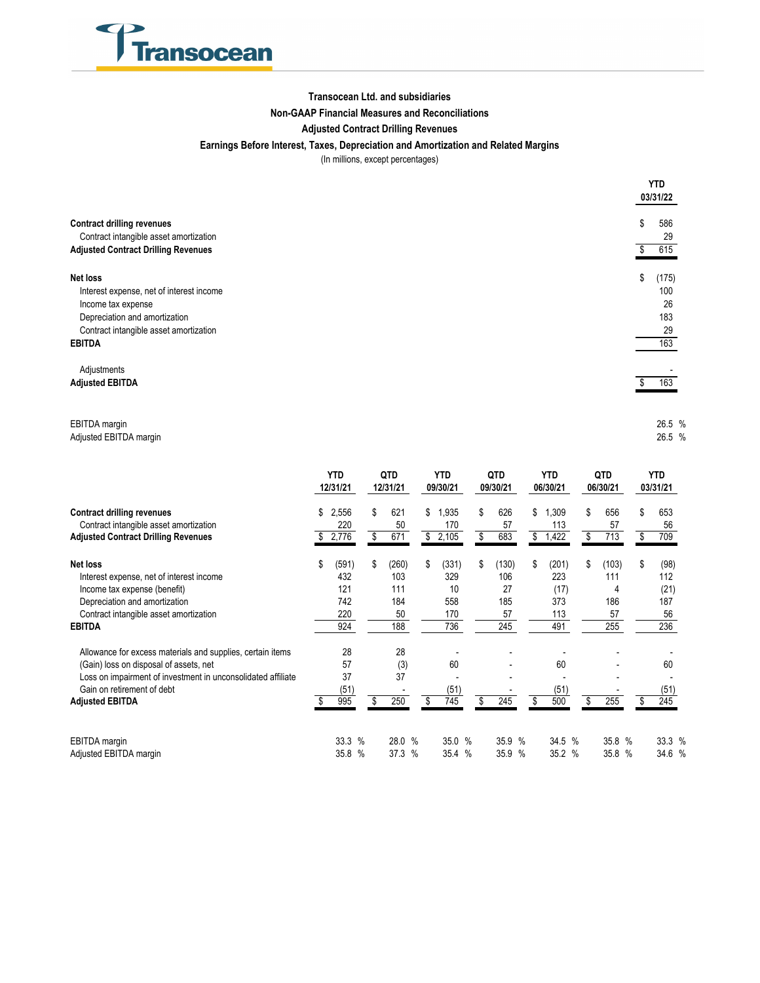

### **Transocean Ltd. and subsidiaries**

### **Non-GAAP Financial Measures and Reconciliations**

### **Adjusted Contract Drilling Revenues**

### **Earnings Before Interest, Taxes, Depreciation and Amortization and Related Margins**

(In millions, except percentages)

|                                                                                                                                                                        | YTD<br>03/31/22                              |
|------------------------------------------------------------------------------------------------------------------------------------------------------------------------|----------------------------------------------|
| <b>Contract drilling revenues</b><br>Contract intangible asset amortization<br><b>Adjusted Contract Drilling Revenues</b>                                              | \$<br>586<br>29<br>615                       |
| Net loss<br>Interest expense, net of interest income<br>Income tax expense<br>Depreciation and amortization<br>Contract intangible asset amortization<br><b>EBITDA</b> | \$<br>(175)<br>100<br>26<br>183<br>29<br>163 |
| Adjustments<br><b>Adjusted EBITDA</b>                                                                                                                                  | 163                                          |

#### EBITDA margin % 26.5 Adjusted EBITDA margin 26.5 % 26.5 % 26.5 % 26.5 % 26.5 % 26.5 % 26.5 % 26.5 % 26.5 % 26.5 % 26.5 % 26.5 % 26.5 % 26.7 % 26.7 % 26.7 % 26.7 % 26.7 % 26.7 % 26.7 % 26.7 % 26.7 % 26.7 % 26.7 % 26.7 % 26.7 % 26.7 % 26.7 % 26.

| <b>Contract drilling revenues</b>                            |    | <b>YTD</b><br>12/31/21 |               | QTD<br>12/31/21 |        |               | YTD<br>09/30/21 |       |    | QTD<br>09/30/21 |        |   | <b>YTD</b><br>06/30/21 |        |  | QTD<br>06/30/21 |        |  | <b>YTD</b><br>03/31/21 |        |  |
|--------------------------------------------------------------|----|------------------------|---------------|-----------------|--------|---------------|-----------------|-------|----|-----------------|--------|---|------------------------|--------|--|-----------------|--------|--|------------------------|--------|--|
|                                                              |    | 2,556                  |               | \$              | 621    | \$            | 1,935           |       | \$ |                 | 626    |   | \$                     | 1,309  |  | \$              | 656    |  | \$                     | 653    |  |
| Contract intangible asset amortization                       |    | 220                    |               |                 | 50     |               |                 | 170   |    |                 | 57     |   |                        | 113    |  |                 | 57     |  |                        | 56     |  |
| <b>Adjusted Contract Drilling Revenues</b>                   |    | 2,776                  |               | S               | 671    | \$            | 2,105           |       | \$ |                 | 683    |   | \$                     | 1,422  |  | \$              | 713    |  | \$                     | 709    |  |
| Net loss                                                     | \$ | (591)                  |               | S               | (260)  | \$            | (331)           |       | \$ |                 | (130)  |   | \$                     | (201)  |  | \$              | (103)  |  | \$                     | (98)   |  |
| Interest expense, net of interest income                     |    | 432                    |               |                 | 103    |               | 329             |       |    |                 | 106    |   |                        | 223    |  |                 | 111    |  |                        | 112    |  |
| Income tax expense (benefit)                                 |    | 121                    |               |                 | 111    |               |                 | 10    |    |                 | 27     |   |                        | (17)   |  |                 | 4      |  |                        | (21)   |  |
| Depreciation and amortization                                |    | 742                    |               |                 | 184    |               | 558             |       |    |                 | 185    |   |                        | 373    |  |                 | 186    |  |                        | 187    |  |
| Contract intangible asset amortization                       |    | 220                    |               |                 | 50     |               |                 | 170   |    |                 | 57     |   |                        | 113    |  |                 | 57     |  |                        | 56     |  |
| <b>EBITDA</b>                                                |    | 924                    |               |                 | 188    |               |                 | 736   |    |                 | 245    |   |                        | 491    |  |                 | 255    |  |                        | 236    |  |
| Allowance for excess materials and supplies, certain items   |    | 28                     |               |                 | 28     |               |                 |       |    |                 |        |   |                        |        |  |                 |        |  |                        |        |  |
| (Gain) loss on disposal of assets, net                       |    | 57                     |               |                 | (3)    |               |                 | 60    |    |                 |        |   |                        | 60     |  |                 |        |  |                        | 60     |  |
| Loss on impairment of investment in unconsolidated affiliate |    | 37                     |               |                 | 37     |               |                 |       |    |                 |        |   |                        |        |  |                 |        |  |                        |        |  |
| Gain on retirement of debt                                   |    | (51)                   |               |                 |        |               |                 | (51)  |    |                 |        |   |                        | (51)   |  |                 |        |  |                        | (51)   |  |
| <b>Adjusted EBITDA</b>                                       |    | 995                    |               | \$              | 250    |               | 745             |       | \$ |                 | 245    |   | \$                     | 500    |  | \$              | 255    |  |                        | 245    |  |
| EBITDA margin                                                |    | 33.3                   | $\frac{0}{0}$ |                 | 28.0 % |               |                 | 35.0% |    |                 | 35.9 % |   |                        | 34.5 % |  |                 | 35.8 % |  |                        | 33.3 % |  |
| Adjusted EBITDA margin                                       |    | 35.8                   | $\%$          |                 | 37.3   | $\frac{0}{0}$ | 35.4            | $\%$  |    |                 | 35.9   | % |                        | 35.2 % |  |                 | 35.8 % |  |                        | 34.6 % |  |